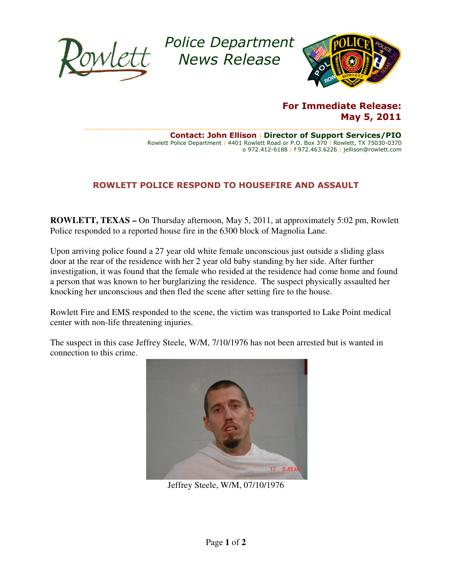

Police Department Police News Release



## For Immediate Release:

 $\_$  , and the state of the state of the state of the state of the state of the state of the state of the state of the state of the state of the state of the state of the state of the state of the state of the state of the Rowlett Police Department | 4401 Rowlett Road or P.O. Box 370 | Rowlett, TX 75030-0370 Contact: John Ellison | Director of Support Services/PIO o 972.412-6188 | f 972.463.6226 | jellison@rowlett.com

## ROWLETT POLICE RESPOND TO HOUSEFIRE AND ASSAULT

**ROWLETT, TEXAS - On Thursday afternoon, May 5, 2011, at approximately 5:02 pm, Rowlett** Police responded to a reported house fire in the 6300 block of Magnolia Lane.

Upon arriving police found a 27 year old white female unconscious just outside a sliding glass door at the rear of the residence with her 2 year old baby standing by her side. After further investigation, it was found that the female who resided at the residence had come home and found a person that was known to her burglarizing the residence. The suspect physically assaulted her knocking her unconscious and then fled the scene after setting fire to the house. fire in the 6300 block of Magnolia Lane.<br>old white female unconscious just outside a sliding glater 2 year old baby standing by her side. After further ding by her side. After further<br>residence had come home and foun<br>he suspect physically assaulted her

Rowlett Fire and EMS responded to the scene, the victim was transported to Lake Point medical center with non-life threatening injuries.

center with non-life threatening injuries.<br>The suspect in this case Jeffrey Steele, W/M, 7/10/1976 has not been arrested but is wanted in connection to this crime.



Jeffrey Steele, W/M, 07/10/1976